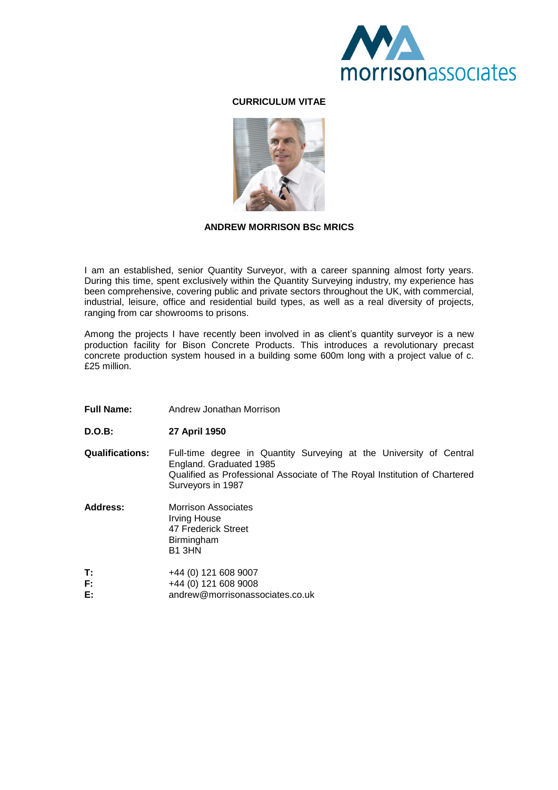

## **CURRICULUM VITAE**



### **ANDREW MORRISON BSc MRICS**

I am an established, senior Quantity Surveyor, with a career spanning almost forty years. During this time, spent exclusively within the Quantity Surveying industry, my experience has been comprehensive, covering public and private sectors throughout the UK, with commercial, industrial, leisure, office and residential build types, as well as a real diversity of projects, ranging from car showrooms to prisons.

Among the projects I have recently been involved in as client's quantity surveyor is a new production facility for Bison Concrete Products. This introduces a revolutionary precast concrete production system housed in a building some 600m long with a project value of c. £25 million.

- **Full Name:** Andrew Jonathan Morrison
- **D.O.B: 27 April 1950**
- **Qualifications:** Full-time degree in Quantity Surveying at the University of Central England. Graduated 1985 Qualified as Professional Associate of The Royal Institution of Chartered Surveyors in 1987

**Address:** Morrison Associates Irving House 47 Frederick Street **Birmingham** B1 3HN

**T:** +44 (0) 121 608 9007 **F:**  $+44 (0) 121 608 9008$ <br>**E:** andrew@morrisonass **E:** andrew@morrisonassociates.co.uk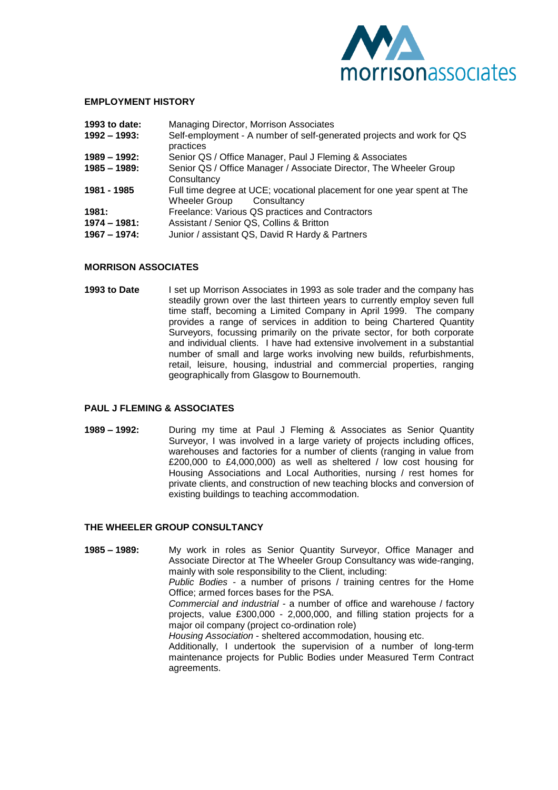

#### **EMPLOYMENT HISTORY**

| 1993 to date:                | Managing Director, Morrison Associates                                                                  |
|------------------------------|---------------------------------------------------------------------------------------------------------|
| 1992 – 1993:                 | Self-employment - A number of self-generated projects and work for QS<br>practices                      |
| 1989 – 1992:                 | Senior QS / Office Manager, Paul J Fleming & Associates                                                 |
| 1985 - 1989:                 | Senior QS / Office Manager / Associate Director, The Wheeler Group<br>Consultancy                       |
| 1981 - 1985                  | Full time degree at UCE; vocational placement for one year spent at The<br>Wheeler Group<br>Consultancy |
| 1981:                        | Freelance: Various QS practices and Contractors                                                         |
| 1974 - 1981:<br>1967 – 1974: | Assistant / Senior QS, Collins & Britton<br>Junior / assistant QS, David R Hardy & Partners             |

#### **MORRISON ASSOCIATES**

**1993 to Date** I set up Morrison Associates in 1993 as sole trader and the company has steadily grown over the last thirteen years to currently employ seven full time staff, becoming a Limited Company in April 1999. The company provides a range of services in addition to being Chartered Quantity Surveyors, focussing primarily on the private sector, for both corporate and individual clients. I have had extensive involvement in a substantial number of small and large works involving new builds, refurbishments, retail, leisure, housing, industrial and commercial properties, ranging geographically from Glasgow to Bournemouth.

#### **PAUL J FLEMING & ASSOCIATES**

**1989 –1992:** During my time at Paul J Fleming & Associates as Senior Quantity Surveyor, I was involved in a large variety of projects including offices, warehouses and factories for a number of clients (ranging in value from £200,000 to £4,000,000) as well as sheltered / low cost housing for Housing Associations and Local Authorities, nursing / rest homes for private clients, and construction of new teaching blocks and conversion of existing buildings to teaching accommodation.

#### **THE WHEELER GROUP CONSULTANCY**

**1985 –1989:** My work in roles as Senior Quantity Surveyor, Office Manager and Associate Director at The Wheeler Group Consultancy was wide-ranging, mainly with sole responsibility to the Client, including: *Public Bodies -* a number of prisons / training centres for the Home Office; armed forces bases for the PSA. *Commercial and industrial -* a number of office and warehouse / factory projects, value £300,000 - 2,000,000, and filling station projects for a major oil company (project co-ordination role) *Housing Association* - sheltered accommodation, housing etc. Additionally, I undertook the supervision of a number of long-term maintenance projects for Public Bodies under Measured Term Contract agreements.